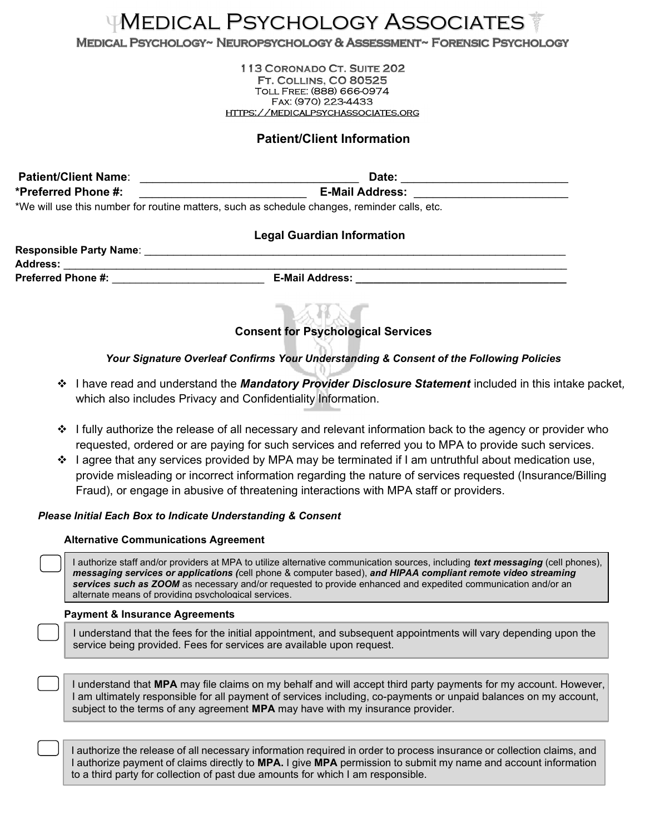# Medical Psychology Associates

MEDICAL PSYCHOLOGY~ NEUROPSYCHOLOGY & ASSESSMENT~ FORENSIC PSYCHOLOGY

113 CORONADO CT. SUITE 202 **FT. COLLINS, CO 80525** Toll Free: (888) 666-0974 Fax: (970) 223-4433 https://medicalpsychassociates.org

# Patient/Client Information

Patient/Client Name: \_\_\_\_\_\_\_\_\_\_\_\_\_\_\_\_\_\_\_\_\_\_\_\_\_\_\_\_\_\_\_\_\_\_ Date: \_\_\_\_\_\_\_\_\_\_\_\_\_\_\_\_\_\_\_\_\_\_\_\_\_\_ \*Preferred Phone #:  $\blacksquare$ \*We will use this number for routine matters, such as schedule changes, reminder calls, etc.

## Legal Guardian Information

| <b>Responsible Party Name:</b> |                        |
|--------------------------------|------------------------|
| <b>Address:</b>                |                        |
| <b>Preferred Phone #:</b>      | <b>E-Mail Address:</b> |
|                                |                        |

# Consent for Psychological Services

### Your Signature Overleaf Confirms Your Understanding & Consent of the Following Policies

- ❖ I have read and understand the *Mandatory Provider Disclosure Statement* included in this intake packet, which also includes Privacy and Confidentiality Information.
- $\div$  I fully authorize the release of all necessary and relevant information back to the agency or provider who requested, ordered or are paying for such services and referred you to MPA to provide such services.
- ❖ I agree that any services provided by MPA may be terminated if I am untruthful about medication use, provide misleading or incorrect information regarding the nature of services requested (Insurance/Billing Fraud), or engage in abusive of threatening interactions with MPA staff or providers.

#### Please Initial Each Box to Indicate Understanding & Consent

#### Alternative Communications Agreement

I authorize staff and/or providers at MPA to utilize alternative communication sources, including *text messaging* (cell phones), messaging services or applications (cell phone & computer based), and HIPAA compliant remote video streaming services such as ZOOM as necessary and/or requested to provide enhanced and expedited communication and/or an alternate means of providing psychological services.

#### Payment & Insurance Agreements

I understand that the fees for the initial appointment, and subsequent appointments will vary depending upon the service being provided. Fees for services are available upon request.

I understand that MPA may file claims on my behalf and will accept third party payments for my account. However, I am ultimately responsible for all payment of services including, co-payments or unpaid balances on my account, subject to the terms of any agreement MPA may have with my insurance provider.

I authorize the release of all necessary information required in order to process insurance or collection claims, and I authorize payment of claims directly to MPA. I give MPA permission to submit my name and account information to a third party for collection of past due amounts for which I am responsible.